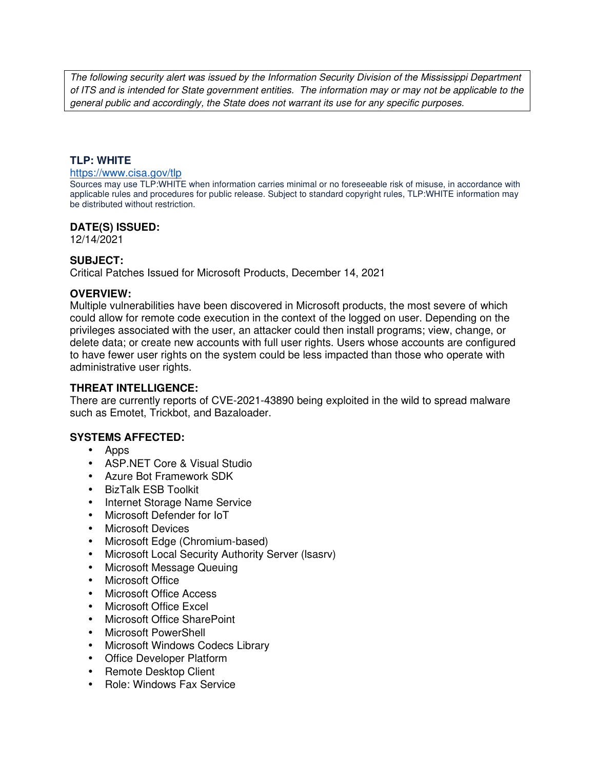The following security alert was issued by the Information Security Division of the Mississippi Department of ITS and is intended for State government entities. The information may or may not be applicable to the general public and accordingly, the State does not warrant its use for any specific purposes.

### **TLP: WHITE**

#### https://www.cisa.gov/tlp

Sources may use TLP:WHITE when information carries minimal or no foreseeable risk of misuse, in accordance with applicable rules and procedures for public release. Subject to standard copyright rules, TLP:WHITE information may be distributed without restriction.

### **DATE(S) ISSUED:**

12/14/2021

## **SUBJECT:**

Critical Patches Issued for Microsoft Products, December 14, 2021

### **OVERVIEW:**

Multiple vulnerabilities have been discovered in Microsoft products, the most severe of which could allow for remote code execution in the context of the logged on user. Depending on the privileges associated with the user, an attacker could then install programs; view, change, or delete data; or create new accounts with full user rights. Users whose accounts are configured to have fewer user rights on the system could be less impacted than those who operate with administrative user rights.

### **THREAT INTELLIGENCE:**

There are currently reports of CVE-2021-43890 being exploited in the wild to spread malware such as Emotet, Trickbot, and Bazaloader.

## **SYSTEMS AFFECTED:**

- Apps
- ASP.NET Core & Visual Studio
- Azure Bot Framework SDK
- BizTalk ESB Toolkit
- Internet Storage Name Service
- Microsoft Defender for IoT
- Microsoft Devices
- Microsoft Edge (Chromium-based)
- Microsoft Local Security Authority Server (lsasrv)
- Microsoft Message Queuing
- Microsoft Office
- Microsoft Office Access
- Microsoft Office Excel
- Microsoft Office SharePoint
- Microsoft PowerShell
- Microsoft Windows Codecs Library
- Office Developer Platform
- Remote Desktop Client
- Role: Windows Fax Service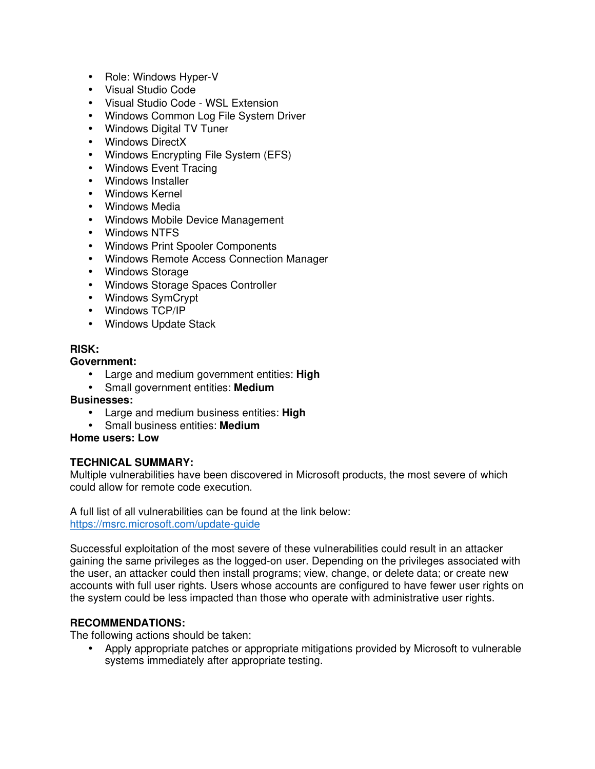- Role: Windows Hyper-V
- Visual Studio Code
- Visual Studio Code WSL Extension
- Windows Common Log File System Driver
- Windows Digital TV Tuner
- Windows DirectX
- Windows Encrypting File System (EFS)
- Windows Event Tracing
- Windows Installer
- Windows Kernel
- Windows Media
- Windows Mobile Device Management
- Windows NTFS
- Windows Print Spooler Components
- Windows Remote Access Connection Manager
- Windows Storage
- Windows Storage Spaces Controller
- Windows SymCrypt
- Windows TCP/IP
- Windows Update Stack

### **RISK:**

### **Government:**

- Large and medium government entities: **High**
- Small government entities: **Medium**

## **Businesses:**

- Large and medium business entities: **High**
- Small business entities: **Medium**

# **Home users: Low**

## **TECHNICAL SUMMARY:**

Multiple vulnerabilities have been discovered in Microsoft products, the most severe of which could allow for remote code execution.

A full list of all vulnerabilities can be found at the link below: https://msrc.microsoft.com/update-guide

Successful exploitation of the most severe of these vulnerabilities could result in an attacker gaining the same privileges as the logged-on user. Depending on the privileges associated with the user, an attacker could then install programs; view, change, or delete data; or create new accounts with full user rights. Users whose accounts are configured to have fewer user rights on the system could be less impacted than those who operate with administrative user rights.

## **RECOMMENDATIONS:**

The following actions should be taken:

• Apply appropriate patches or appropriate mitigations provided by Microsoft to vulnerable systems immediately after appropriate testing.